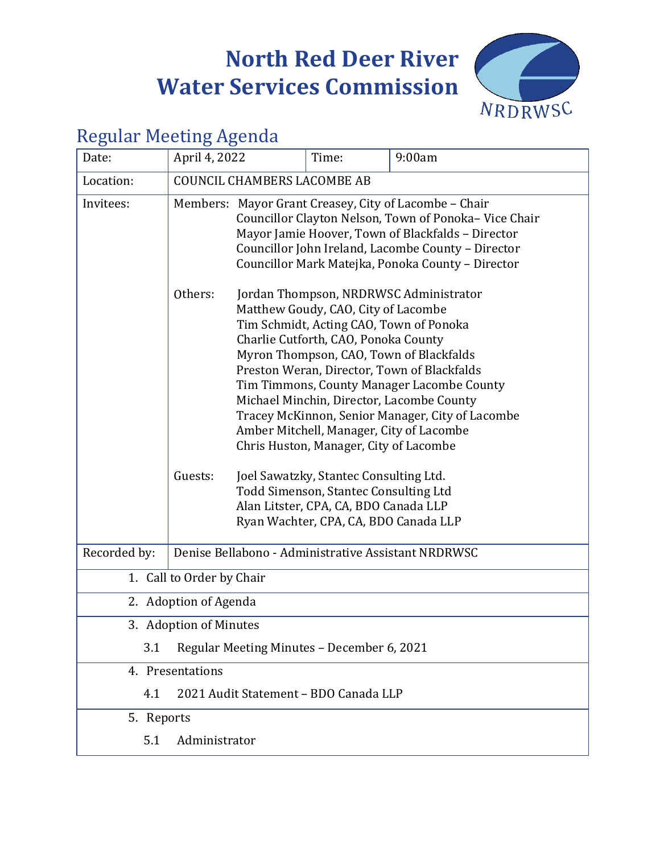# **North Red Deer River Water Services Commission**



# Regular Meeting Agenda

| Date:        | April 4, 2022                                                                                |                                                                                                                                                                                                                                                                                                                                                                                                                                                                                                                                                                                                                             | Time: |  | 9:00am |
|--------------|----------------------------------------------------------------------------------------------|-----------------------------------------------------------------------------------------------------------------------------------------------------------------------------------------------------------------------------------------------------------------------------------------------------------------------------------------------------------------------------------------------------------------------------------------------------------------------------------------------------------------------------------------------------------------------------------------------------------------------------|-------|--|--------|
| Location:    | <b>COUNCIL CHAMBERS LACOMBE AB</b>                                                           |                                                                                                                                                                                                                                                                                                                                                                                                                                                                                                                                                                                                                             |       |  |        |
| Invitees:    |                                                                                              | Members: Mayor Grant Creasey, City of Lacombe - Chair<br>Councillor Clayton Nelson, Town of Ponoka-Vice Chair<br>Mayor Jamie Hoover, Town of Blackfalds - Director<br>Councillor John Ireland, Lacombe County - Director<br>Councillor Mark Matejka, Ponoka County - Director                                                                                                                                                                                                                                                                                                                                               |       |  |        |
|              | Others:<br>Guests:                                                                           | Jordan Thompson, NRDRWSC Administrator<br>Matthew Goudy, CAO, City of Lacombe<br>Tim Schmidt, Acting CAO, Town of Ponoka<br>Charlie Cutforth, CAO, Ponoka County<br>Myron Thompson, CAO, Town of Blackfalds<br>Preston Weran, Director, Town of Blackfalds<br>Tim Timmons, County Manager Lacombe County<br>Michael Minchin, Director, Lacombe County<br>Tracey McKinnon, Senior Manager, City of Lacombe<br>Amber Mitchell, Manager, City of Lacombe<br>Chris Huston, Manager, City of Lacombe<br>Joel Sawatzky, Stantec Consulting Ltd.<br>Todd Simenson, Stantec Consulting Ltd<br>Alan Litster, CPA, CA, BDO Canada LLP |       |  |        |
|              | Ryan Wachter, CPA, CA, BDO Canada LLP<br>Denise Bellabono - Administrative Assistant NRDRWSC |                                                                                                                                                                                                                                                                                                                                                                                                                                                                                                                                                                                                                             |       |  |        |
| Recorded by: |                                                                                              |                                                                                                                                                                                                                                                                                                                                                                                                                                                                                                                                                                                                                             |       |  |        |
|              | 1. Call to Order by Chair                                                                    |                                                                                                                                                                                                                                                                                                                                                                                                                                                                                                                                                                                                                             |       |  |        |
|              | 2. Adoption of Agenda                                                                        |                                                                                                                                                                                                                                                                                                                                                                                                                                                                                                                                                                                                                             |       |  |        |
|              | 3. Adoption of Minutes                                                                       |                                                                                                                                                                                                                                                                                                                                                                                                                                                                                                                                                                                                                             |       |  |        |
| 3.1          | Regular Meeting Minutes - December 6, 2021                                                   |                                                                                                                                                                                                                                                                                                                                                                                                                                                                                                                                                                                                                             |       |  |        |
|              | 4. Presentations                                                                             |                                                                                                                                                                                                                                                                                                                                                                                                                                                                                                                                                                                                                             |       |  |        |
| 4.1          | 2021 Audit Statement - BDO Canada LLP                                                        |                                                                                                                                                                                                                                                                                                                                                                                                                                                                                                                                                                                                                             |       |  |        |
| 5. Reports   |                                                                                              |                                                                                                                                                                                                                                                                                                                                                                                                                                                                                                                                                                                                                             |       |  |        |
| 5.1          | Administrator                                                                                |                                                                                                                                                                                                                                                                                                                                                                                                                                                                                                                                                                                                                             |       |  |        |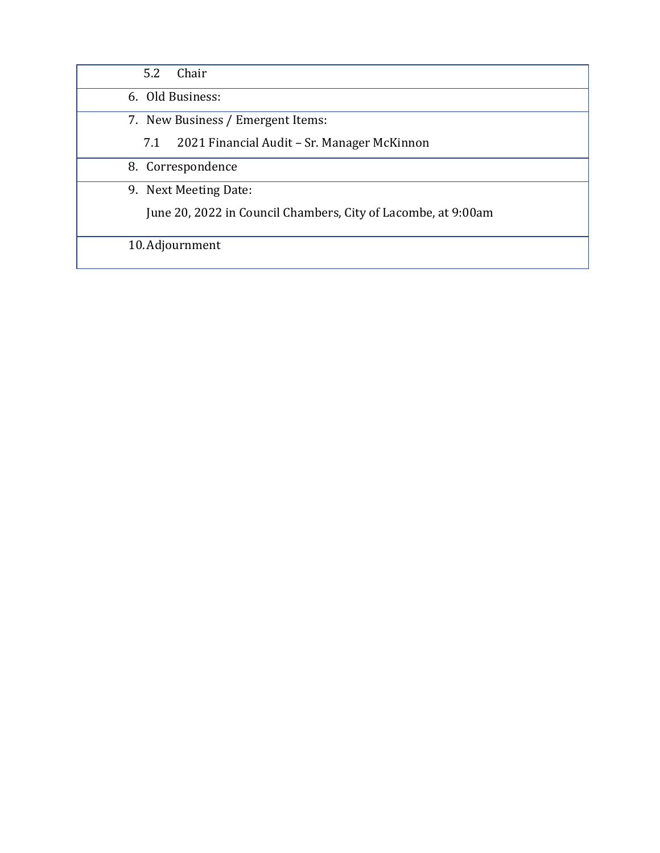| Chair<br>5.2                                                  |
|---------------------------------------------------------------|
| 6. Old Business:                                              |
| 7. New Business / Emergent Items:                             |
| 2021 Financial Audit – Sr. Manager McKinnon<br>7.1            |
| 8. Correspondence                                             |
| 9. Next Meeting Date:                                         |
| June 20, 2022 in Council Chambers, City of Lacombe, at 9:00am |
| 10. Adjournment                                               |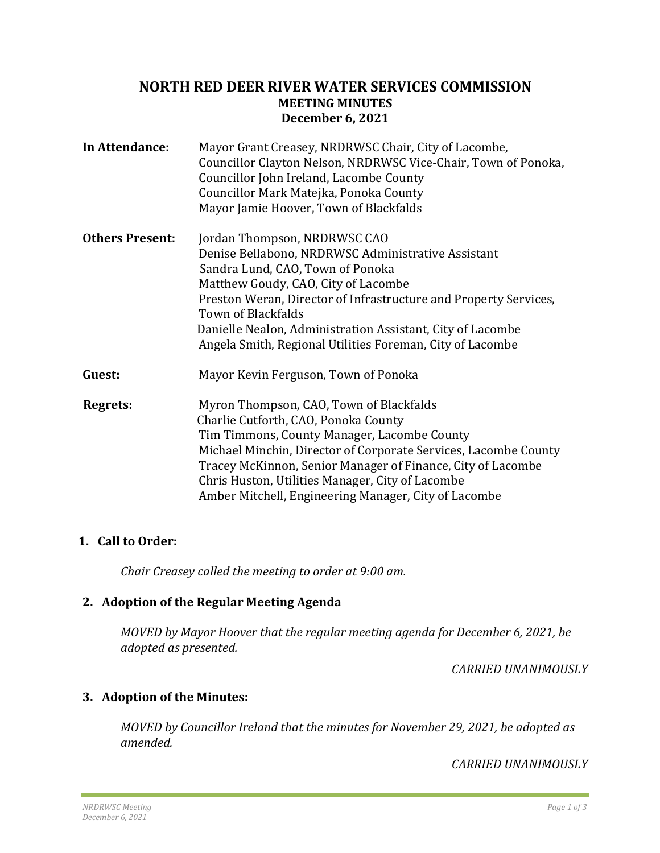# <span id="page-2-0"></span>**NORTH RED DEER RIVER WATER SERVICES COMMISSION MEETING MINUTES December 6, 2021**

| In Attendance:         | Mayor Grant Creasey, NRDRWSC Chair, City of Lacombe,<br>Councillor Clayton Nelson, NRDRWSC Vice-Chair, Town of Ponoka,<br>Councillor John Ireland, Lacombe County<br>Councillor Mark Matejka, Ponoka County<br>Mayor Jamie Hoover, Town of Blackfalds                                                                                                                              |
|------------------------|------------------------------------------------------------------------------------------------------------------------------------------------------------------------------------------------------------------------------------------------------------------------------------------------------------------------------------------------------------------------------------|
| <b>Others Present:</b> | Jordan Thompson, NRDRWSC CAO<br>Denise Bellabono, NRDRWSC Administrative Assistant<br>Sandra Lund, CAO, Town of Ponoka<br>Matthew Goudy, CAO, City of Lacombe<br>Preston Weran, Director of Infrastructure and Property Services,<br>Town of Blackfalds<br>Danielle Nealon, Administration Assistant, City of Lacombe<br>Angela Smith, Regional Utilities Foreman, City of Lacombe |
| Guest:                 | Mayor Kevin Ferguson, Town of Ponoka                                                                                                                                                                                                                                                                                                                                               |
| Regrets:               | Myron Thompson, CAO, Town of Blackfalds<br>Charlie Cutforth, CAO, Ponoka County<br>Tim Timmons, County Manager, Lacombe County<br>Michael Minchin, Director of Corporate Services, Lacombe County<br>Tracey McKinnon, Senior Manager of Finance, City of Lacombe<br>Chris Huston, Utilities Manager, City of Lacombe<br>Amber Mitchell, Engineering Manager, City of Lacombe       |

# **1. Call to Order:**

*Chair Creasey called the meeting to order at 9:00 am.*

# **2. Adoption of the Regular Meeting Agenda**

*MOVED by Mayor Hoover that the regular meeting agenda for December 6, 2021, be adopted as presented.*

*CARRIED UNANIMOUSLY*

# **3. Adoption of the Minutes:**

*MOVED by Councillor Ireland that the minutes for November 29, 2021, be adopted as amended.*

*CARRIED UNANIMOUSLY*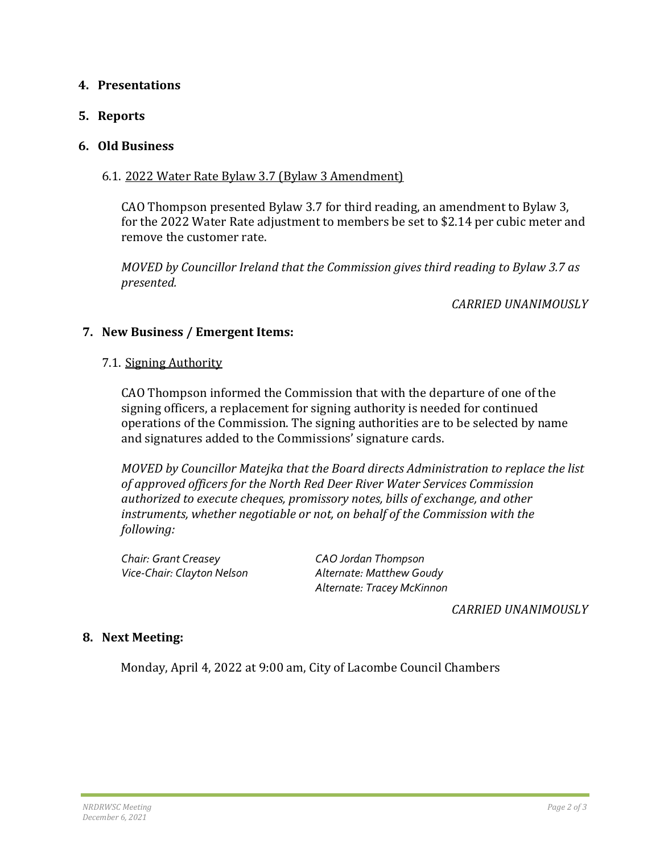# **4. Presentations**

## **5. Reports**

## **6. Old Business**

## 6.1. 2022 Water Rate Bylaw 3.7 (Bylaw 3 Amendment)

CAO Thompson presented Bylaw 3.7 for third reading, an amendment to Bylaw 3, for the 2022 Water Rate adjustment to members be set to \$2.14 per cubic meter and remove the customer rate.

*MOVED by Councillor Ireland that the Commission gives third reading to Bylaw 3.7 as presented.*

*CARRIED UNANIMOUSLY*

# **7. New Business / Emergent Items:**

### 7.1. Signing Authority

CAO Thompson informed the Commission that with the departure of one of the signing officers, a replacement for signing authority is needed for continued operations of the Commission. The signing authorities are to be selected by name and signatures added to the Commissions' signature cards.

*MOVED by Councillor Matejka that the Board directs Administration to replace the list of approved officers for the North Red Deer River Water Services Commission authorized to execute cheques, promissory notes, bills of exchange, and other instruments, whether negotiable or not, on behalf of the Commission with the following:* 

*Chair: Grant Creasey CAO Jordan Thompson*

*Vice-Chair: Clayton Nelson Alternate: Matthew Goudy Alternate: Tracey McKinnon*

*CARRIED UNANIMOUSLY*

# **8. Next Meeting:**

Monday, April 4, 2022 at 9:00 am, City of Lacombe Council Chambers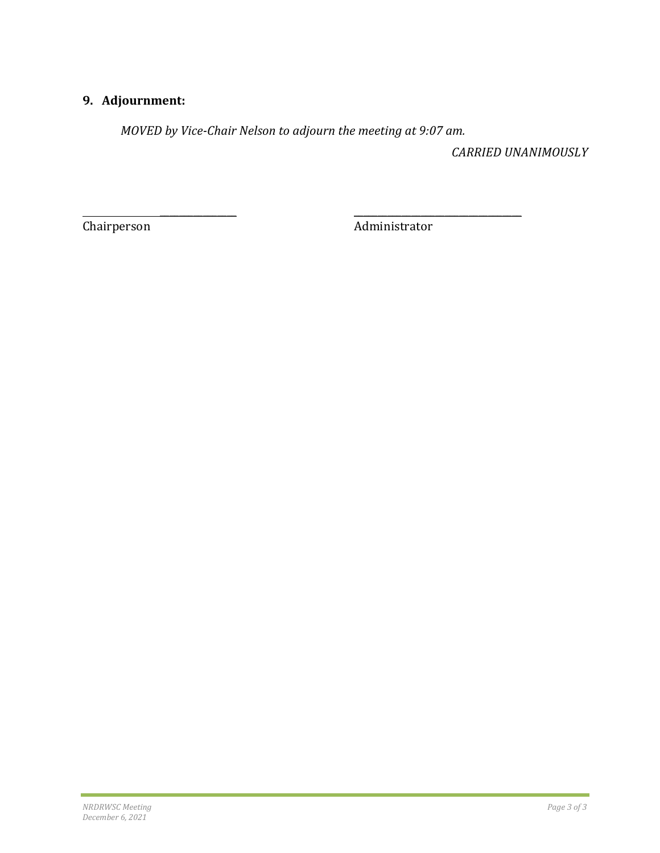# **9. Adjournment:**

*MOVED by Vice-Chair Nelson to adjourn the meeting at 9:07 am.*

*CARRIED UNANIMOUSLY*

 $\overline{\phantom{a}}$  , and the contract of the contract of the contract of the contract of the contract of the contract of the contract of the contract of the contract of the contract of the contract of the contract of the contrac Chairperson Administrator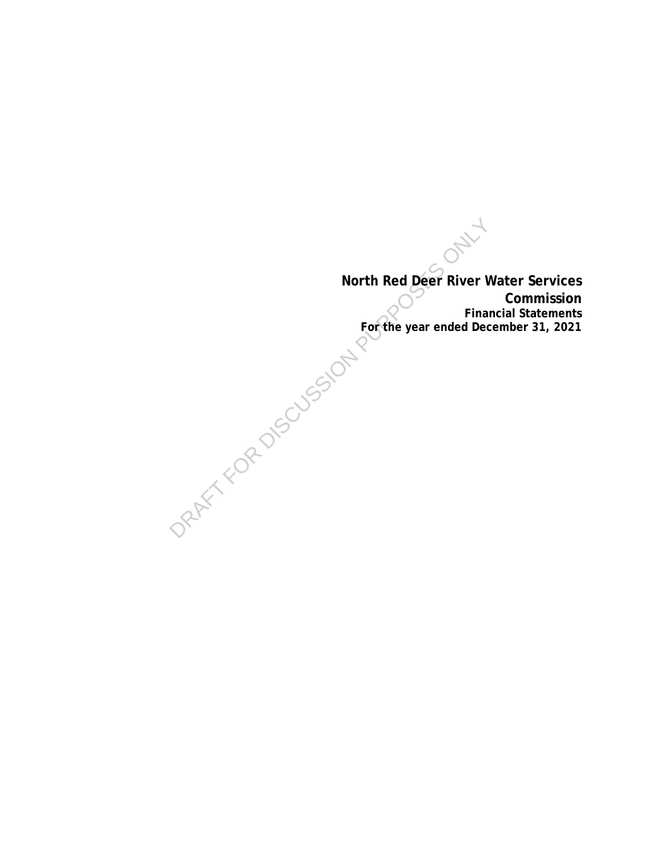<span id="page-5-0"></span>**North Red Deer River Water Services Commission Financial Statements For the year ended December 31, 2021** North Red Deer River v<br>For the year ended Dec<br>For the year ended Dec<br>PRAFT KOR DISCUSSION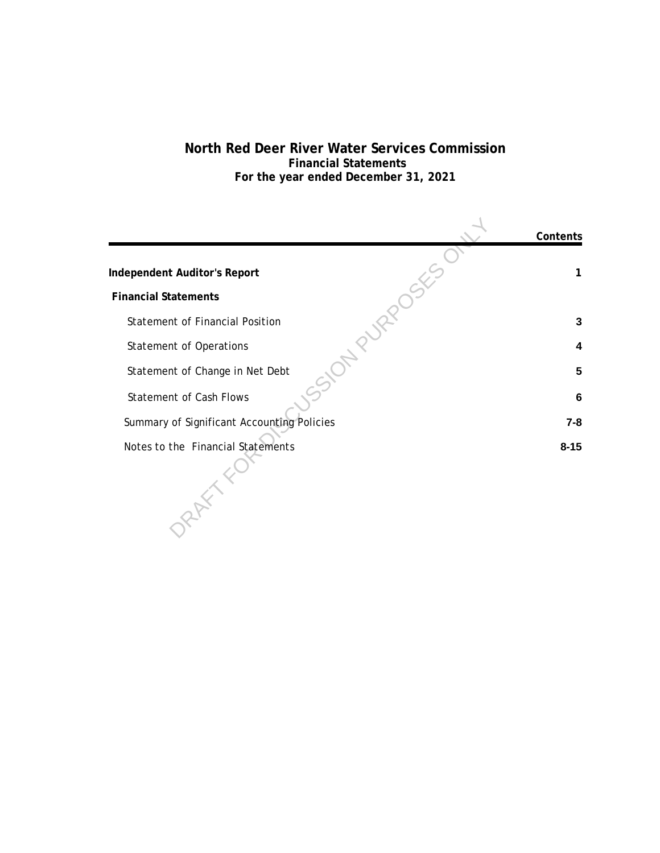# **North Red Deer River Water Services Commission Financial Statements For the year ended December 31, 2021**

|                                            | Contents |
|--------------------------------------------|----------|
|                                            |          |
| Independent Auditor's Report               |          |
| <b>Financial Statements</b>                |          |
| <b>Statement of Financial Position</b>     | 3        |
| <b>Statement of Operations</b>             | 4        |
| Statement of Change in Net Debt            | 5        |
| <b>Statement of Cash Flows</b>             | 6        |
| Summary of Significant Accounting Policies | $7 - 8$  |
| Notes to the Financial Statements          | $8 - 15$ |
|                                            |          |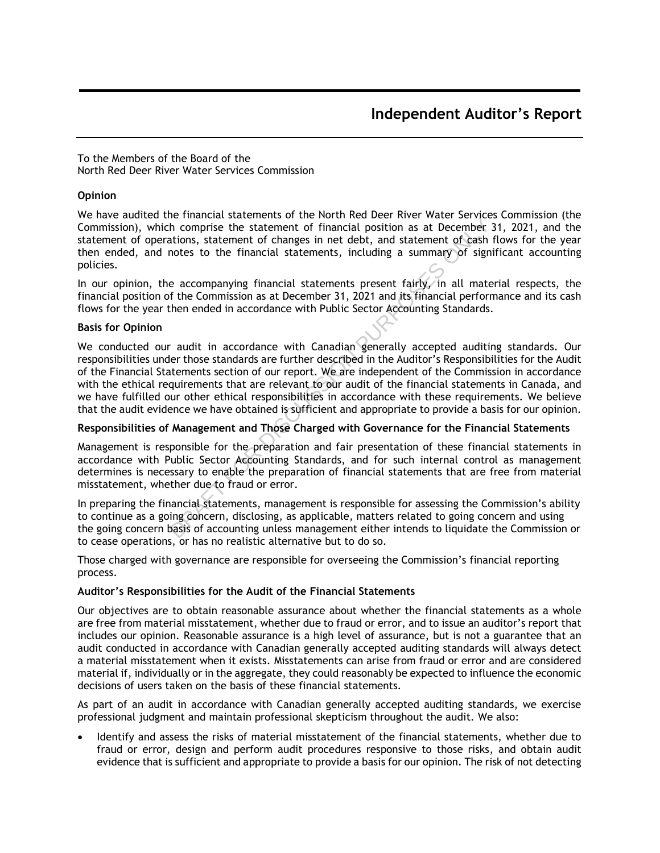To the Members of the Board of the North Red Deer River Water Services Commission

#### **Opinion**

We have audited the financial statements of the North Red Deer River Water Services Commission (the Commission), which comprise the statement of financial position as at December 31, 2021, and the statement of operations, statement of changes in net debt, and statement of cash flows for the year then ended, and notes to the financial statements, including a summary of significant accounting policies.

In our opinion, the accompanying financial statements present fairly, in all material respects, the financial position of the Commission as at December 31, 2021 and its financial performance and its cash flows for the year then ended in accordance with Public Sector Accounting Standards.

#### Basis for Opinion

We conducted our audit in accordance with Canadian generally accepted auditing standards. Our responsibilities under those standards are further described in the Auditor's Responsibilities for the Audit of the Financial Statements section of our report. We are independent of the Commission in accordance with the ethical requirements that are relevant to our audit of the financial statements in Canada, and we have fulfilled our other ethical responsibilities in accordance with these requirements. We believe that the audit evidence we have obtained is sufficient and appropriate to provide a basis for our opinion. Fremental successions of the court and contribute the complete the statement of financial position as at December<br>ations, statement of changes in net debt, and statement of cash<br>anotes to the financial statements, includin

#### Responsibilities of Management and Those Charged with Governance for the Financial Statements

Management is responsible for the preparation and fair presentation of these financial statements in accordance with Public Sector Accounting Standards, and for such internal control as management determines is necessary to enable the preparation of financial statements that are free from material misstatement, whether due to fraud or error.

In preparing the financial statements, management is responsible for assessing the Commission's ability to continue as a going concern, disclosing, as applicable, matters related to going concern and using the going concern basis of accounting unless management either intends to liquidate the Commission or to cease operations, or has no realistic alternative but to do so.

Those charged with governance are responsible for overseeing the Commission's financial reporting process.

#### Auditor's Responsibilities for the Audit of the Financial Statements

Our objectives are to obtain reasonable assurance about whether the financial statements as a whole are free from material misstatement, whether due to fraud or error, and to issue an auditor's report that includes our opinion. Reasonable assurance is a high level of assurance, but is not a guarantee that an audit conducted in accordance with Canadian generally accepted auditing standards will always detect a material misstatement when it exists. Misstatements can arise from fraud or error and are considered material if, individually or in the aggregate, they could reasonably be expected to influence the economic decisions of users taken on the basis of these financial statements.

As part of an audit in accordance with Canadian generally accepted auditing standards, we exercise professional judgment and maintain professional skepticism throughout the audit. We also:

 Identify and assess the risks of material misstatement of the financial statements, whether due to fraud or error, design and perform audit procedures responsive to those risks, and obtain audit evidence that is sufficient and appropriate to provide a basis for our opinion. The risk of not detecting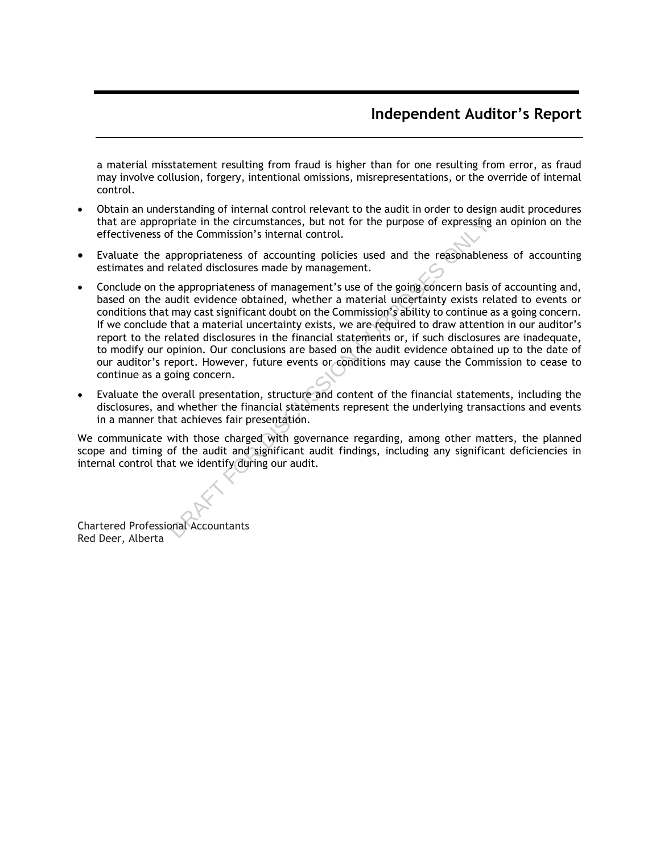# Independent Auditor's Report

a material misstatement resulting from fraud is higher than for one resulting from error, as fraud may involve collusion, forgery, intentional omissions, misrepresentations, or the override of internal control.

- Obtain an understanding of internal control relevant to the audit in order to design audit procedures that are appropriate in the circumstances, but not for the purpose of expressing an opinion on the effectiveness of the Commission's internal control.
- Evaluate the appropriateness of accounting policies used and the reasonableness of accounting estimates and related disclosures made by management.
- Conclude on the appropriateness of management's use of the going concern basis of accounting and, based on the audit evidence obtained, whether a material uncertainty exists related to events or conditions that may cast significant doubt on the Commission's ability to continue as a going concern. If we conclude that a material uncertainty exists, we are required to draw attention in our auditor's report to the related disclosures in the financial statements or, if such disclosures are inadequate, to modify our opinion. Our conclusions are based on the audit evidence obtained up to the date of our auditor's report. However, future events or conditions may cause the Commission to cease to continue as a going concern. priate in the circumstances, but not for the purpose of expressing<br>f the Commission's internal control.<br>appropriateness of accounting policies used and the reasonabler<br>related disclosures made by management.<br>a eappropriate
- Evaluate the overall presentation, structure and content of the financial statements, including the disclosures, and whether the financial statements represent the underlying transactions and events in a manner that achieves fair presentation.

We communicate with those charged with governance regarding, among other matters, the planned scope and timing of the audit and significant audit findings, including any significant deficiencies in internal control that we identify during our audit.

Chartered Professional Accountants Red Deer, Alberta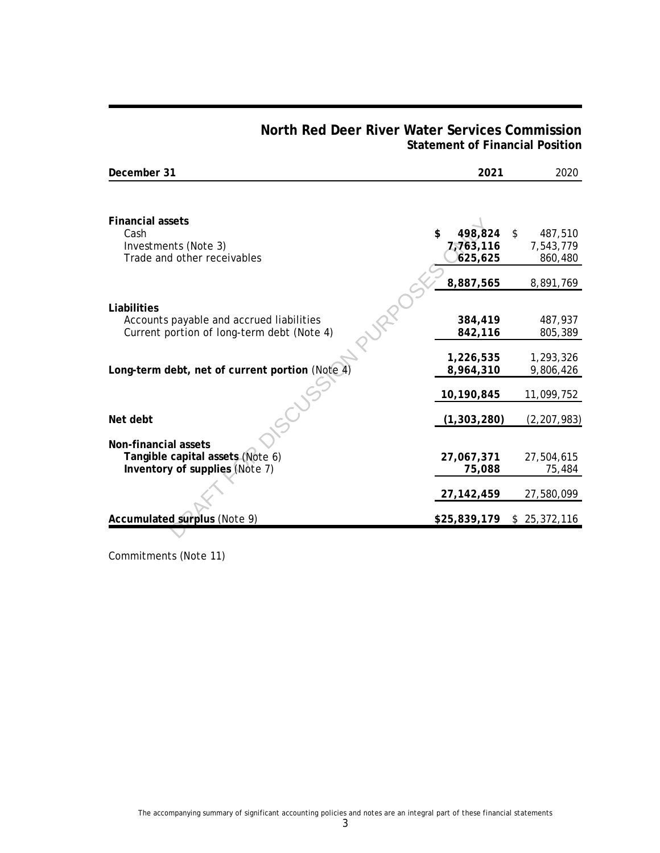# **North Red Deer River Water Services Commission Statement of Financial Position**

| December 31                                                                            | 2021                   | 2020                   |
|----------------------------------------------------------------------------------------|------------------------|------------------------|
|                                                                                        |                        |                        |
| <b>Financial assets</b><br>Cash                                                        | \$<br>498,824          | \$<br>487,510          |
| Investments (Note 3)<br>Trade and other receivables                                    | 7,763,116<br>625,625   | 7,543,779<br>860,480   |
|                                                                                        | 8,887,565              | 8,891,769              |
| Liabilities                                                                            |                        |                        |
| Accounts payable and accrued liabilities<br>Current portion of long-term debt (Note 4) | 384,419<br>842,116     | 487,937<br>805,389     |
| Long-term debt, net of current portion (Note 4                                         | 1,226,535<br>8,964,310 | 1,293,326<br>9,806,426 |
|                                                                                        | 10,190,845             | 11,099,752             |
| Net debt                                                                               | (1, 303, 280)          | (2, 207, 983)          |
| Non-financial assets                                                                   |                        |                        |
| Tangible capital assets (Note 6)<br>Inventory of supplies (Note 7)                     | 27,067,371<br>75,088   | 27,504,615<br>75,484   |
|                                                                                        | 27, 142, 459           | 27,580,099             |
| Accumulated surplus (Note 9)                                                           | \$25,839,179           | \$25,372,116           |
|                                                                                        |                        |                        |

Commitments (Note 11)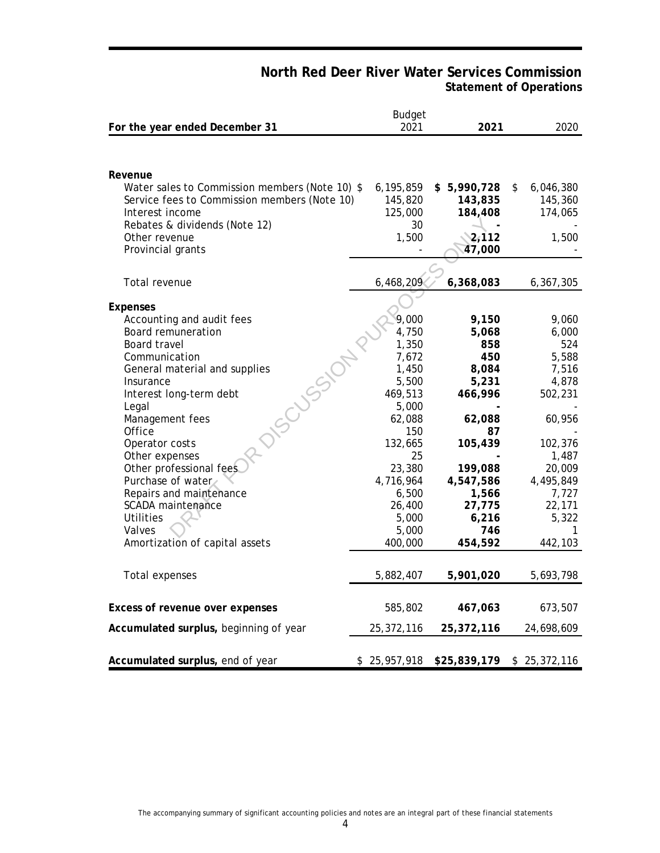# **North Red Deer River Water Services Commission Statement of Operations**

| For the year ended December 31                 | <b>Budget</b><br>2021 | 2021               | 2020               |
|------------------------------------------------|-----------------------|--------------------|--------------------|
|                                                |                       |                    |                    |
|                                                |                       |                    |                    |
| Revenue                                        |                       |                    |                    |
| Water sales to Commission members (Note 10) \$ | 6,195,859             | \$5,990,728        | \$<br>6,046,380    |
| Service fees to Commission members (Note 10)   | 145,820               | 143,835            | 145,360            |
| Interest income                                | 125,000               | 184,408            | 174,065            |
| Rebates & dividends (Note 12)                  | 30                    |                    |                    |
| Other revenue                                  | 1,500                 | 2,112              | 1,500              |
| Provincial grants                              |                       | 47,000             |                    |
|                                                |                       |                    |                    |
| Total revenue                                  | 6,468,209             | 6,368,083          | 6,367,305          |
|                                                |                       |                    |                    |
| Expenses<br>Accounting and audit fees          | 9,000                 | 9,150              | 9,060              |
| Board remuneration                             | 4,750                 | 5,068              | 6,000              |
| Board travel                                   | 1,350                 | 858                | 524                |
| Dissibility<br>Communication                   | 7,672                 | 450                | 5,588              |
| General material and supplies                  | 1,450                 | 8,084              | 7,516              |
| Insurance                                      | 5,500                 | 5,231              | 4,878              |
| Interest long-term debt                        | 469,513               | 466,996            | 502,231            |
| Legal                                          | 5,000                 |                    |                    |
| Management fees                                | 62,088                | 62,088             | 60,956             |
| Office                                         | 150                   | 87                 |                    |
| Operator costs                                 | 132,665               | 105,439            | 102,376            |
| Other expenses                                 | 25                    |                    | 1,487              |
| Other professional fees                        | 23,380                | 199,088            | 20,009             |
| Purchase of water<br>Repairs and maintenance   | 4,716,964<br>6,500    | 4,547,586<br>1,566 | 4,495,849<br>7,727 |
| SCADA maintenance                              | 26,400                | 27,775             | 22,171             |
| Utilities                                      | 5,000                 | 6,216              | 5,322              |
| Valves                                         | 5,000                 | 746                | 1                  |
| Amortization of capital assets                 | 400,000               | 454,592            | 442,103            |
|                                                |                       |                    |                    |
| Total expenses                                 | 5,882,407             | 5,901,020          | 5,693,798          |
|                                                |                       |                    |                    |
| Excess of revenue over expenses                | 585,802               | 467,063            | 673,507            |
|                                                |                       |                    |                    |
| Accumulated surplus, beginning of year         | 25,372,116            | 25,372,116         | 24,698,609         |
|                                                |                       |                    |                    |
| Accumulated surplus, end of year               | \$25,957,918          | \$25,839,179       | \$25,372,116       |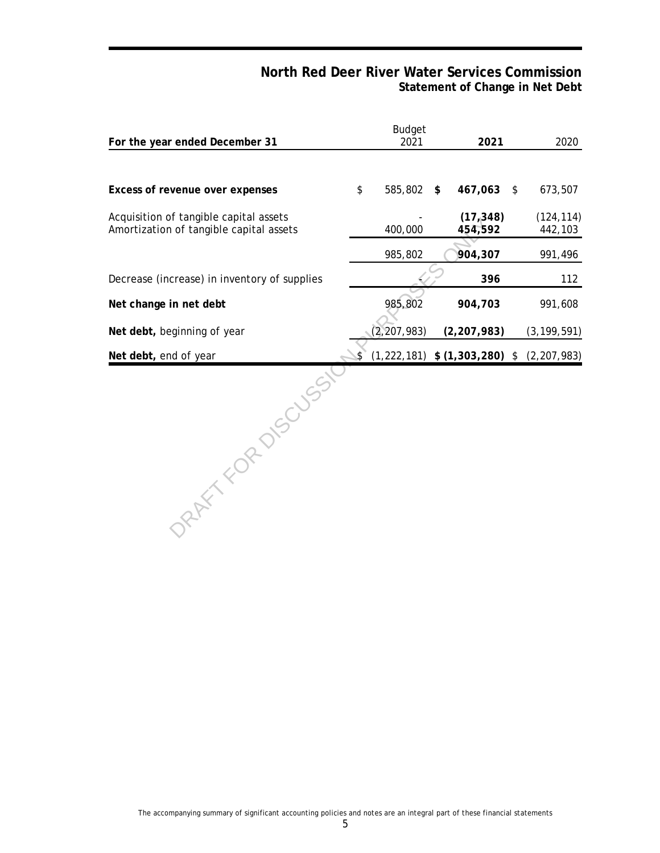# **North Red Deer River Water Services Commission Statement of Change in Net Debt**

| For the year ended December 31                                                    |    | <b>Budget</b><br>2021 | 2021                              | 2020                  |
|-----------------------------------------------------------------------------------|----|-----------------------|-----------------------------------|-----------------------|
|                                                                                   |    |                       |                                   |                       |
| Excess of revenue over expenses                                                   | \$ | 585,802               | \$<br>467,063                     | \$<br>673,507         |
| Acquisition of tangible capital assets<br>Amortization of tangible capital assets |    | 400,000               | (17,348)<br>454,592               | (124, 114)<br>442,103 |
|                                                                                   |    | 985,802               | 904,307                           | 991,496               |
| Decrease (increase) in inventory of supplies                                      |    |                       | 396                               | 112                   |
| Net change in net debt                                                            |    | 985,802               | 904,703                           | 991,608               |
| Net debt, beginning of year                                                       |    | (2, 207, 983)         | (2, 207, 983)                     | (3, 199, 591)         |
| Net debt, end of year                                                             |    |                       | $(1,222,181)$ \$ $(1,303,280)$ \$ | (2, 207, 983)         |
| RATTY FOR DISCUSS                                                                 |    |                       |                                   |                       |

The accompanying summary of significant accounting policies and notes are an integral part of these financial statements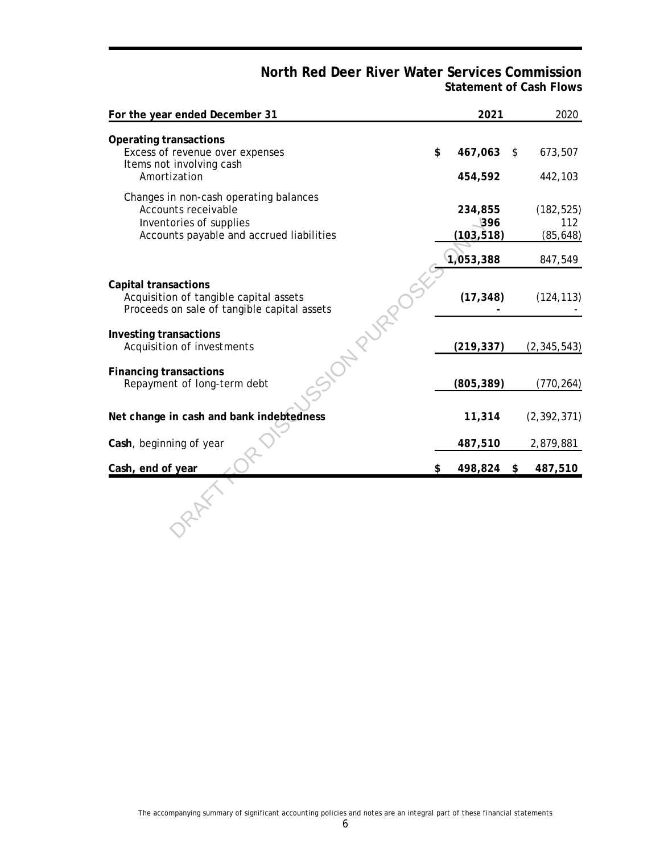# **North Red Deer River Water Services Commission Statement of Cash Flows**

| For the year ended December 31                                                                                                       |     | 2021                                                 | 2020                           |
|--------------------------------------------------------------------------------------------------------------------------------------|-----|------------------------------------------------------|--------------------------------|
| Operating transactions<br>Excess of revenue over expenses<br>Items not involving cash                                                | \$  | 467,063                                              | \$<br>673,507                  |
| Amortization                                                                                                                         |     | 454,592                                              | 442,103                        |
| Changes in non-cash operating balances<br>Accounts receivable<br>Inventories of supplies<br>Accounts payable and accrued liabilities |     | 234,855<br>$\overline{\phantom{0}396}$<br>(103, 518) | (182, 525)<br>112<br>(85, 648) |
|                                                                                                                                      |     | 1,053,388                                            | 847,549                        |
| Capital transactions<br>Acquisition of tangible capital assets<br>Proceeds on sale of tangible capital assets                        |     | (17, 348)                                            | (124, 113)                     |
| Investing transactions<br>Acquisition of investments                                                                                 |     | (219, 337)                                           | (2, 345, 543)                  |
| Financing transactions<br>Repayment of long-term debt                                                                                |     | (805, 389)                                           | (770, 264)                     |
| Net change in cash and bank indebtedness                                                                                             |     | 11,314                                               | (2, 392, 371)                  |
| Cash, beginning of year                                                                                                              |     | 487,510                                              | 2,879,881                      |
| Cash, end of year                                                                                                                    | \$. | 498,824                                              | \$<br>487,510                  |
|                                                                                                                                      |     |                                                      |                                |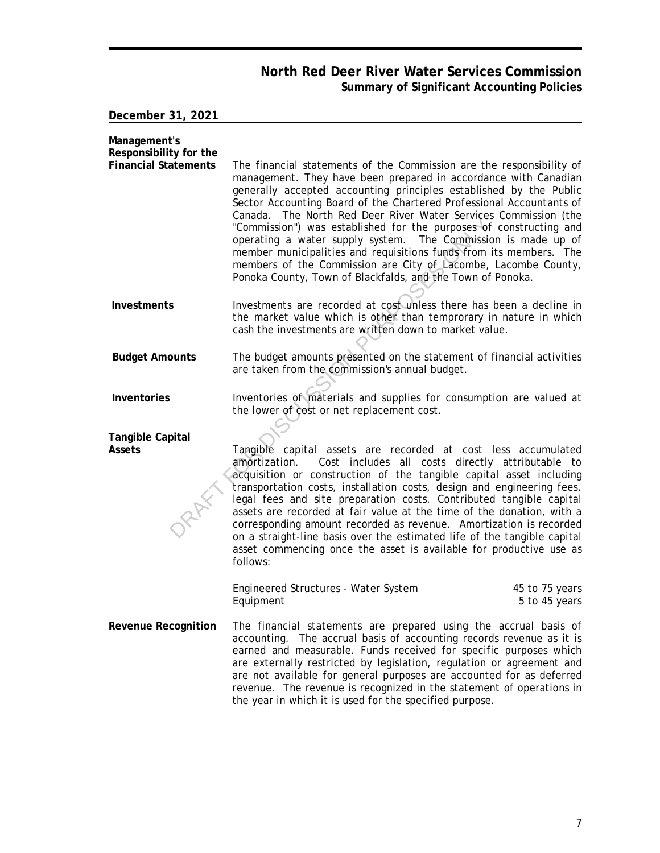# **North Red Deer River Water Services Commission Summary of Significant Accounting Policies**

**December 31, 2021**

| Management's<br>Responsibility for the |                                                                                                                                                                                                                                                                                                                                                                                                                                                                                                                                                                                                                                                                                                       |                                 |
|----------------------------------------|-------------------------------------------------------------------------------------------------------------------------------------------------------------------------------------------------------------------------------------------------------------------------------------------------------------------------------------------------------------------------------------------------------------------------------------------------------------------------------------------------------------------------------------------------------------------------------------------------------------------------------------------------------------------------------------------------------|---------------------------------|
| <b>Financial Statements</b>            | The financial statements of the Commission are the responsibility of<br>management. They have been prepared in accordance with Canadian<br>generally accepted accounting principles established by the Public<br>Sector Accounting Board of the Chartered Professional Accountants of<br>Canada. The North Red Deer River Water Services Commission (the<br>"Commission") was established for the purposes of constructing and<br>operating a water supply system. The Commission is made up of<br>member municipalities and requisitions funds from its members. The<br>members of the Commission are City of Lacombe, Lacombe County,<br>Ponoka County, Town of Blackfalds, and the Town of Ponoka. |                                 |
| Investments                            | Investments are recorded at cost unless there has been a decline in<br>the market value which is other than temprorary in nature in which<br>cash the investments are written down to market value.                                                                                                                                                                                                                                                                                                                                                                                                                                                                                                   |                                 |
| <b>Budget Amounts</b>                  | The budget amounts presented on the statement of financial activities<br>are taken from the commission's annual budget.                                                                                                                                                                                                                                                                                                                                                                                                                                                                                                                                                                               |                                 |
| Inventories                            | Inventories of materials and supplies for consumption are valued at<br>the lower of cost or net replacement cost.                                                                                                                                                                                                                                                                                                                                                                                                                                                                                                                                                                                     |                                 |
| Tangible Capital                       |                                                                                                                                                                                                                                                                                                                                                                                                                                                                                                                                                                                                                                                                                                       |                                 |
| Assets                                 | Tangible capital assets are recorded at cost less accumulated<br>amortization.<br>Cost includes all costs directly attributable to<br>acquisition or construction of the tangible capital asset including<br>transportation costs, installation costs, design and engineering fees,<br>legal fees and site preparation costs. Contributed tangible capital<br>assets are recorded at fair value at the time of the donation, with a<br>corresponding amount recorded as revenue. Amortization is recorded<br>on a straight-line basis over the estimated life of the tangible capital<br>asset commencing once the asset is available for productive use as<br>follows:                               |                                 |
|                                        | Engineered Structures - Water System<br>Equipment                                                                                                                                                                                                                                                                                                                                                                                                                                                                                                                                                                                                                                                     | 45 to 75 years<br>5 to 45 years |
| Revenue Recognition                    | The financial statements are prepared using the accrual basis of<br>accounting. The accrual basis of accounting records revenue as it is<br>earned and measurable. Funds received for specific purposes which<br>are externally restricted by legislation, regulation or agreement and<br>are not available for general purposes are accounted for as deferred<br>revenue. The revenue is recognized in the statement of operations in<br>the year in which it is used for the specified purpose.                                                                                                                                                                                                     |                                 |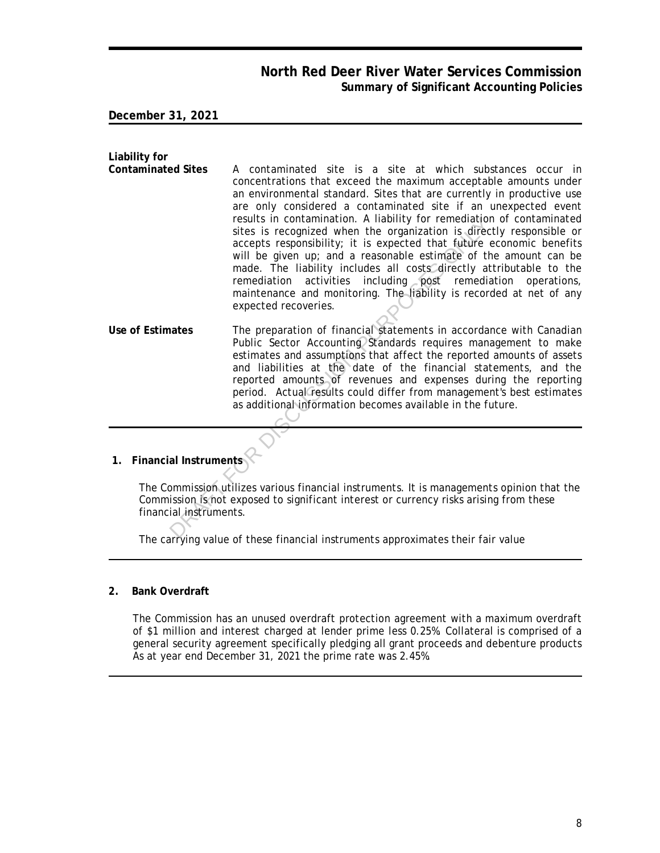# **North Red Deer River Water Services Commission Summary of Significant Accounting Policies**

**December 31, 2021**

**Liability for Contaminated Sites** A contaminated site is a site at which substances occur in concentrations that exceed the maximum acceptable amounts under an environmental standard. Sites that are currently in productive use are only considered a contaminated site if an unexpected event results in contamination. A liability for remediation of contaminated sites is recognized when the organization is directly responsible or accepts responsibility; it is expected that future economic benefits will be given up; and a reasonable estimate of the amount can be made. The liability includes all costs directly attributable to the remediation activities including post remediation operations, maintenance and monitoring. The liability is recorded at net of any expected recoveries. **Use of Estimates** The preparation of financial statements in accordance with Canadian results in contamination. A liability for remediation<br>sites is recognized when the organization is direct<br>accepts responsibility; it is expected that future<br>will be given up; and a reasonable estimate of the<br>made. The liab

- Public Sector Accounting Standards requires management to make estimates and assumptions that affect the reported amounts of assets and liabilities at the date of the financial statements, and the reported amounts of revenues and expenses during the reporting period. Actual results could differ from management's best estimates as additional information becomes available in the future.
- **1. Financial Instruments**

The Commission utilizes various financial instruments. It is managements opinion that the Commission is not exposed to significant interest or currency risks arising from these financial instruments.

The carrying value of these financial instruments approximates their fair value

**2. Bank Overdraft**

The Commission has an unused overdraft protection agreement with a maximum overdraft of \$1 million and interest charged at lender prime less 0.25%. Collateral is comprised of a general security agreement specifically pledging all grant proceeds and debenture products As at year end December 31, 2021 the prime rate was 2.45%.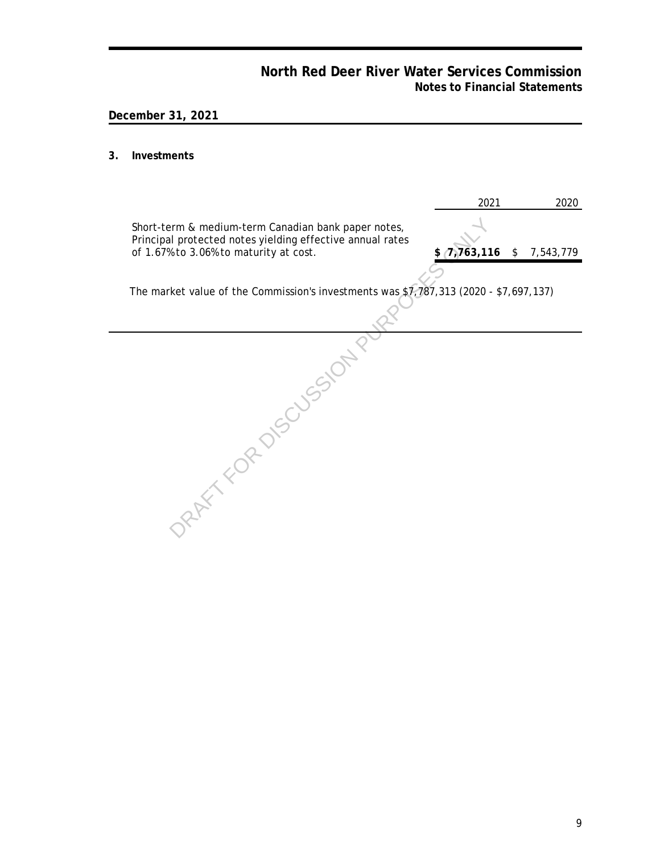# **North Red Deer River Water Services Commission Notes to Financial Statements**

# **December 31, 2021**

#### **3. Investments**

|                                                                                                                                                            | 2021      | 2020            |
|------------------------------------------------------------------------------------------------------------------------------------------------------------|-----------|-----------------|
| Short-term & medium-term Canadian bank paper notes,<br>Principal protected notes yielding effective annual rates<br>of 1.67% to 3.06% to maturity at cost. | 7,763,116 | \$<br>7,543,779 |
| The market value of the Commission's investments was \$7,787,313 (2020 - \$7,697,137)                                                                      |           |                 |
|                                                                                                                                                            |           |                 |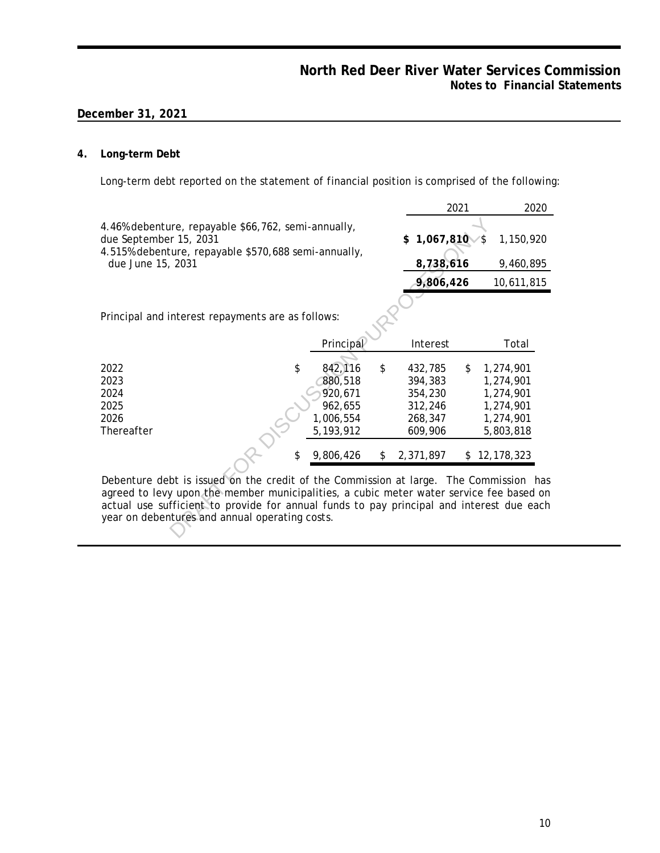#### **4. Long-term Debt**

Long-term debt reported on the statement of financial position is comprised of the following:

|                                                                                                                                                                                                                                                                                                                                |           |    |                 | 2021      |            | 2020 |
|--------------------------------------------------------------------------------------------------------------------------------------------------------------------------------------------------------------------------------------------------------------------------------------------------------------------------------|-----------|----|-----------------|-----------|------------|------|
| 4.46% debenture, repayable \$66,762, semi-annually,<br>due September 15, 2031                                                                                                                                                                                                                                                  |           |    | 1,067,810<br>\$ | 1,150,920 |            |      |
| 4.515% debenture, repayable \$570,688 semi-annually,<br>due June 15, 2031                                                                                                                                                                                                                                                      |           |    | 8,738,616       |           | 9,460,895  |      |
|                                                                                                                                                                                                                                                                                                                                |           |    | 9,806,426       |           | 10,611,815 |      |
|                                                                                                                                                                                                                                                                                                                                |           |    |                 |           |            |      |
| Principal and interest repayments are as follows:                                                                                                                                                                                                                                                                              |           |    |                 |           |            |      |
|                                                                                                                                                                                                                                                                                                                                | Principal |    | Interest        |           | Total      |      |
| \$<br>2022                                                                                                                                                                                                                                                                                                                     | 842,116   | \$ | 432,785         | \$        | 1,274,901  |      |
| 2023                                                                                                                                                                                                                                                                                                                           | 880,518   |    | 394,383         |           | 1,274,901  |      |
| 2024                                                                                                                                                                                                                                                                                                                           | 920,671   |    | 354,230         |           | 1,274,901  |      |
| 2025                                                                                                                                                                                                                                                                                                                           | 962,655   |    | 312,246         |           | 1,274,901  |      |
| 2026                                                                                                                                                                                                                                                                                                                           | 1,006,554 |    | 268,347         |           | 1,274,901  |      |
| Thereafter                                                                                                                                                                                                                                                                                                                     | 5,193,912 |    | 609,906         |           | 5,803,818  |      |
| \$                                                                                                                                                                                                                                                                                                                             | 9,806,426 | \$ | 2,371,897       | \$        | 12,178,323 |      |
| Debenture debt is issued on the credit of the Commission at large. The Commission has<br>agreed to levy upon the member municipalities, a cubic meter water service fee based on<br>actual use sufficient to provide for annual funds to pay principal and interest due each<br>year on debentures and annual operating costs. |           |    |                 |           |            |      |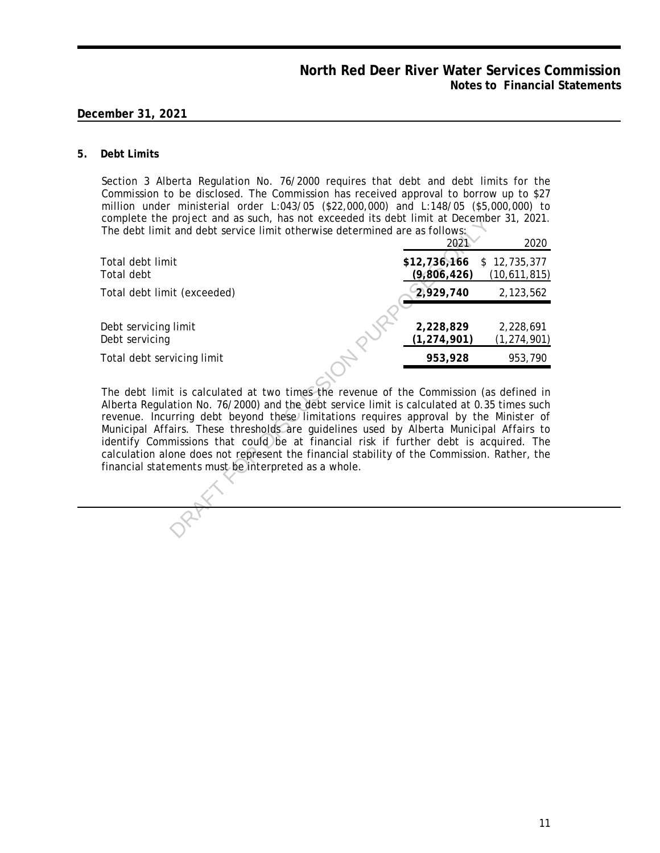#### **5. Debt Limits**

Section 3 Alberta Regulation No. 76/2000 requires that debt and debt limits for the Commission to be disclosed. The Commission has received approval to borrow up to \$27 million under ministerial order L:043/05 (\$22,000,000) and L:148/05 (\$5,000,000) to complete the project and as such, has not exceeded its debt limit at December 31, 2021. The debt limit and debt service limit otherwise determined are as follows:

| complete the project and as such, has not exceeded its debt limit at December 31, 2021.<br>The debt limit and debt service limit otherwise determined are as follows:                                                                                                                                                                                                                                                                                                                                                                                                                                                     |                             |                              |
|---------------------------------------------------------------------------------------------------------------------------------------------------------------------------------------------------------------------------------------------------------------------------------------------------------------------------------------------------------------------------------------------------------------------------------------------------------------------------------------------------------------------------------------------------------------------------------------------------------------------------|-----------------------------|------------------------------|
|                                                                                                                                                                                                                                                                                                                                                                                                                                                                                                                                                                                                                           | 2021                        | 2020                         |
| Total debt limit<br>Total debt                                                                                                                                                                                                                                                                                                                                                                                                                                                                                                                                                                                            | \$12,736,166<br>(9,806,426) | \$12,735,377<br>(10,611,815) |
| Total debt limit (exceeded)                                                                                                                                                                                                                                                                                                                                                                                                                                                                                                                                                                                               | 2,929,740                   | 2,123,562                    |
| Debt servicing limit<br>Debt servicing                                                                                                                                                                                                                                                                                                                                                                                                                                                                                                                                                                                    | 2,228,829<br>(1, 274, 901)  | 2,228,691<br>(1, 274, 901)   |
| Total debt servicing limit                                                                                                                                                                                                                                                                                                                                                                                                                                                                                                                                                                                                | 953,928                     | 953,790                      |
| The debt limit is calculated at two times the revenue of the Commission (as defined in<br>Alberta Regulation No. 76/2000) and the debt service limit is calculated at 0.35 times such<br>revenue. Incurring debt beyond these limitations requires approval by the Minister of<br>Municipal Affairs. These thresholds are guidelines used by Alberta Municipal Affairs to<br>identify Commissions that could be at financial risk if further debt is acquired. The<br>calculation alone does not represent the financial stability of the Commission. Rather, the<br>financial statements must be interpreted as a whole. |                             |                              |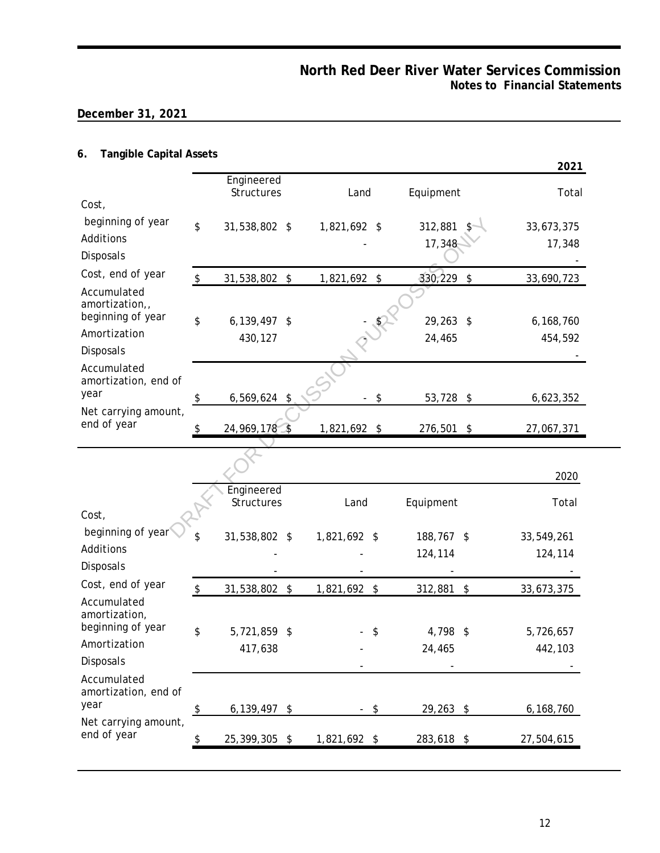# **6. Tangible Capital Assets**

|                                                                                                                                                                                     |                         |                          |            |              |                            |             |                           | 2021       |
|-------------------------------------------------------------------------------------------------------------------------------------------------------------------------------------|-------------------------|--------------------------|------------|--------------|----------------------------|-------------|---------------------------|------------|
|                                                                                                                                                                                     |                         | Engineered<br>Structures |            | Land         |                            | Equipment   |                           | Total      |
| Cost,                                                                                                                                                                               |                         |                          |            |              |                            |             |                           |            |
| beginning of year                                                                                                                                                                   | \$                      | 31,538,802 \$            |            | 1,821,692 \$ |                            | 312,881     |                           | 33,673,375 |
| Additions<br>Disposals                                                                                                                                                              |                         |                          |            |              |                            | 17,348      |                           | 17,348     |
| Cost, end of year                                                                                                                                                                   | \$                      | 31,538,802               | \$         | 1,821,692 \$ |                            | 330,229     | $\boldsymbol{\mathsf{S}}$ | 33,690,723 |
| Accumulated<br>amortization,,<br>beginning of year                                                                                                                                  |                         |                          |            |              |                            |             |                           |            |
| Amortization                                                                                                                                                                        | \$                      | 6,139,497                | $\sqrt{2}$ |              | $\frac{1}{2}$              | $29,263$ \$ |                           | 6,168,760  |
| Disposals                                                                                                                                                                           |                         | 430,127                  |            |              |                            | 24,465      |                           | 454,592    |
| Accumulated<br>amortization, end of                                                                                                                                                 |                         |                          |            |              |                            |             |                           |            |
| year                                                                                                                                                                                | \$                      | 6,569,624 \$             |            |              | $\boldsymbol{\mathsf{\$}}$ | 53,728 \$   |                           | 6,623,352  |
| Net carrying amount,<br>end of year                                                                                                                                                 | \$                      | 24,969,178 \$            |            | 1,821,692 \$ |                            | 276,501 \$  |                           | 27,067,371 |
|                                                                                                                                                                                     |                         |                          |            |              |                            |             |                           |            |
|                                                                                                                                                                                     |                         |                          |            |              |                            |             |                           | 2020       |
|                                                                                                                                                                                     |                         | Engineered               |            |              |                            |             |                           |            |
| Cost,                                                                                                                                                                               |                         | Structures               |            | Land         |                            | Equipment   |                           | Total      |
|                                                                                                                                                                                     |                         |                          |            |              |                            |             |                           |            |
| beginning of year                                                                                                                                                                   | \$                      |                          |            |              |                            | 188,767 \$  |                           |            |
|                                                                                                                                                                                     |                         | 31,538,802 \$            |            | 1,821,692 \$ |                            |             |                           | 33,549,261 |
|                                                                                                                                                                                     |                         |                          |            |              |                            | 124,114     |                           | 124,114    |
|                                                                                                                                                                                     |                         |                          |            |              |                            |             |                           |            |
|                                                                                                                                                                                     | $\sqrt[6]{\frac{1}{2}}$ | 31,538,802               | \$         | 1,821,692    | \$                         | 312,881     | \$                        | 33,673,375 |
|                                                                                                                                                                                     | \$                      | 5,721,859 \$             |            |              | \$                         | 4,798 \$    |                           | 5,726,657  |
|                                                                                                                                                                                     |                         | 417,638                  |            |              |                            | 24,465      |                           | 442,103    |
|                                                                                                                                                                                     |                         |                          |            |              |                            |             |                           |            |
| Additions<br>Disposals<br>Cost, end of year<br>Accumulated<br>amortization,<br>beginning of year<br>Amortization<br><b>Disposals</b><br>Accumulated<br>amortization, end of<br>year |                         |                          |            |              |                            |             |                           |            |
| Net carrying amount,                                                                                                                                                                | $\frac{1}{2}$           | 6,139,497                | \$         | $\sim$       | \$                         | 29,263 \$   |                           | 6,168,760  |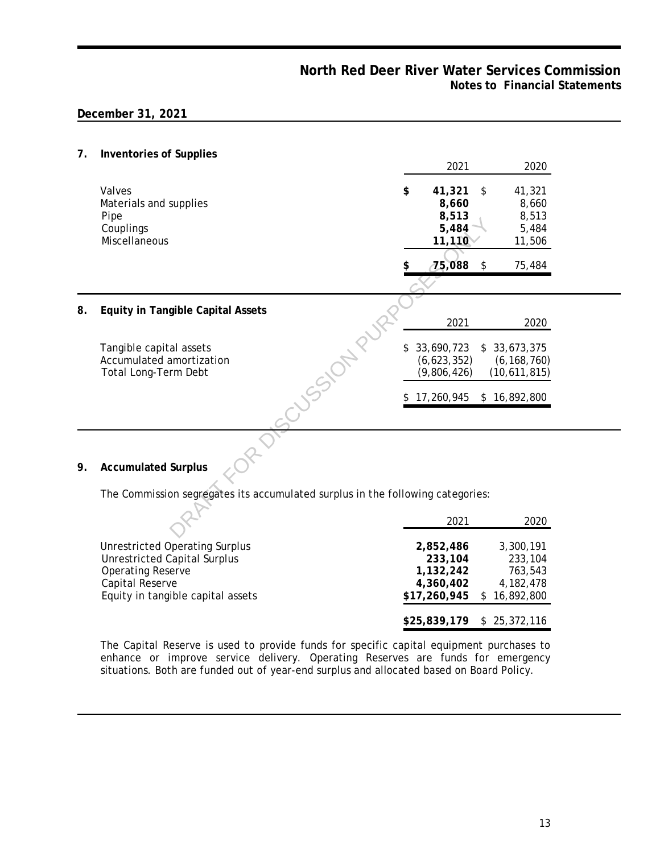$\overline{\phantom{0}}$ 

**7. Inventories of Supplies**

|    |                                                                                         | 2021<br>2020                                                                                                                     |  |
|----|-----------------------------------------------------------------------------------------|----------------------------------------------------------------------------------------------------------------------------------|--|
|    | Valves<br>Materials and supplies<br>Pipe<br>Couplings<br>Miscellaneous                  | \$<br>41,321<br>\$<br>41,321<br>8,660<br>8,660<br>8,513<br>8,513<br>5,484<br>5,484<br>11,110<br>11,506<br>75,088<br>\$<br>75,484 |  |
|    |                                                                                         |                                                                                                                                  |  |
| 8. | Equity in Tangible Capital Assets                                                       | 2021<br>2020                                                                                                                     |  |
|    | USSICA-D<br>Tangible capital assets<br>Accumulated amortization<br>Total Long-Term Debt | 33,690,723<br>\$<br>33,673,375<br>\$<br>(6,623,352)<br>(6, 168, 760)<br>(9,806,426)<br>(10,611,815)                              |  |
|    |                                                                                         | 17,260,945<br>\$16,892,800                                                                                                       |  |
|    |                                                                                         |                                                                                                                                  |  |
| 9. | <b>Accumulated Surplus</b>                                                              |                                                                                                                                  |  |
|    | The Commission segregates its accumulated surplus in the following categories:          |                                                                                                                                  |  |
|    |                                                                                         | 2021<br>2020                                                                                                                     |  |

|                                                      | 2021                      | 2020                        |
|------------------------------------------------------|---------------------------|-----------------------------|
| <b>Unrestricted Operating Surplus</b>                | 2.852.486                 | 3,300,191                   |
| <b>Unrestricted Capital Surplus</b>                  | 233,104                   | 233,104                     |
| <b>Operating Reserve</b>                             | 1,132,242                 | 763.543                     |
| Capital Reserve<br>Equity in tangible capital assets | 4,360,402<br>\$17,260,945 | 4, 182, 478<br>\$16,892,800 |
|                                                      |                           | \$25,839,179 \$ 25,372,116  |

The Capital Reserve is used to provide funds for specific capital equipment purchases to enhance or improve service delivery. Operating Reserves are funds for emergency situations. Both are funded out of year-end surplus and allocated based on Board Policy.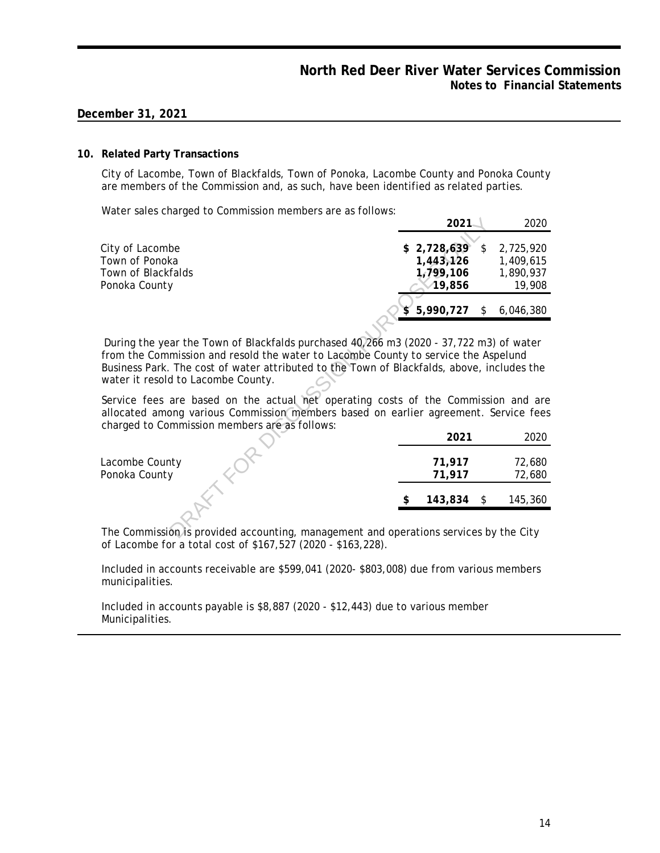#### **10. Related Party Transactions**

City of Lacombe, Town of Blackfalds, Town of Ponoka, Lacombe County and Ponoka County are members of the Commission and, as such, have been identified as related parties.

Water sales charged to Commission members are as follows:

|                                                                                                                                                                                                                                                                                                                  | 2021                                            | 2020                                                |
|------------------------------------------------------------------------------------------------------------------------------------------------------------------------------------------------------------------------------------------------------------------------------------------------------------------|-------------------------------------------------|-----------------------------------------------------|
| City of Lacombe<br>Town of Ponoka<br>Town of Blackfalds<br>Ponoka County                                                                                                                                                                                                                                         | \$2,728,639<br>1,443,126<br>1,799,106<br>19,856 | \$<br>2,725,920<br>1,409,615<br>1,890,937<br>19,908 |
|                                                                                                                                                                                                                                                                                                                  | 5,990,727                                       | \$<br>6,046,380                                     |
| During the year the Town of Blackfalds purchased 40,266 m3 (2020 - 37,722 m3) of water<br>from the Commission and resold the water to Lacombe County to service the Aspelund<br>Business Park. The cost of water attributed to the Town of Blackfalds, above, includes the<br>water it resold to Lacombe County. |                                                 |                                                     |
| Service fees are based on the actual net operating costs of the Commission and are<br>allocated among various Commission members based on earlier agreement. Service fees<br>charged to Commission members are as follows:                                                                                       |                                                 |                                                     |
|                                                                                                                                                                                                                                                                                                                  | 2021                                            | 2020                                                |
| Lacombe County<br>Ponoka County                                                                                                                                                                                                                                                                                  | 71,917<br>71,917                                | 72,680<br>72,680                                    |
|                                                                                                                                                                                                                                                                                                                  | 143,834                                         | \$<br>145,360                                       |
| The Commission is provided accounting, management and operations services by the City                                                                                                                                                                                                                            |                                                 |                                                     |

| ∠∪∠ ⊥              | ∠∪∠∪    |
|--------------------|---------|
|                    |         |
| 71,917             | 72,680  |
| 71,917             | 72,680  |
|                    |         |
| \$<br>$143,834$ \$ | 145,360 |
|                    |         |

The Commission is provided accounting, management and operations services by the City of Lacombe for a total cost of \$167,527 (2020 - \$163,228).

Included in accounts receivable are \$599,041 (2020- \$803,008) due from various members municipalities.

Included in accounts payable is \$8,887 (2020 - \$12,443) due to various member Municipalities.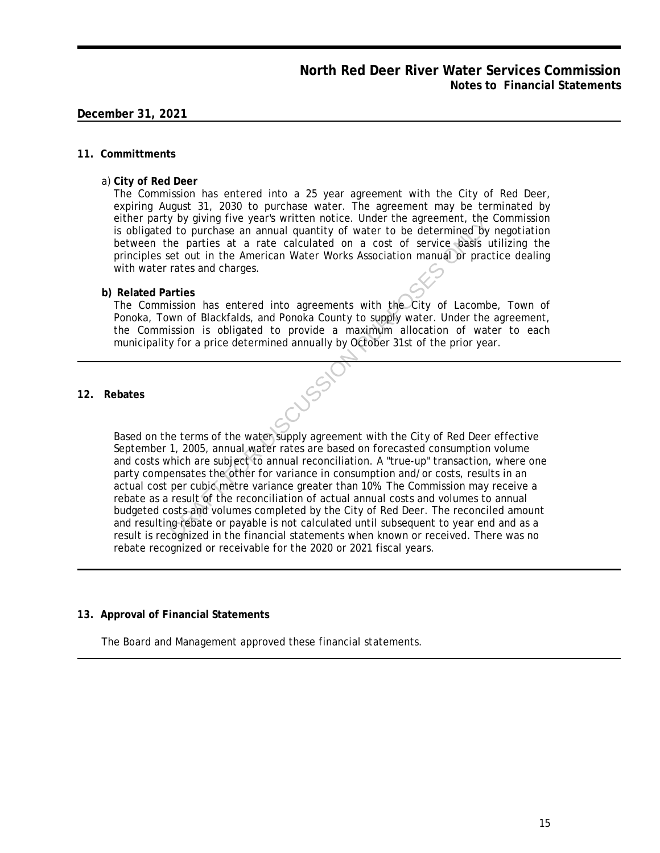#### **11. Committments**

a) **City of Red Deer**

The Commission has entered into a 25 year agreement with the City of Red Deer, expiring August 31, 2030 to purchase water. The agreement may be terminated by either party by giving five year's written notice. Under the agreement, the Commission is obligated to purchase an annual quantity of water to be determined by negotiation between the parties at a rate calculated on a cost of service basis utilizing the principles set out in the American Water Works Association manual or practice dealing with water rates and charges.

**b) Related Parties**

The Commission has entered into agreements with the City of Lacombe, Town of Ponoka, Town of Blackfalds, and Ponoka County to supply water. Under the agreement, the Commission is obligated to provide a maximum allocation of water to each municipality for a price determined annually by October 31st of the prior year.

**12. Rebates**

Based on the terms of the water supply agreement with the City of Red Deer effective September 1, 2005, annual water rates are based on forecasted consumption volume and costs which are subject to annual reconciliation. A "true-up" transaction, where one party compensates the other for variance in consumption and/or costs, results in an actual cost per cubic metre variance greater than 10%. The Commission may receive a rebate as a result of the reconciliation of actual annual costs and volumes to annual budgeted costs and volumes completed by the City of Red Deer. The reconciled amount and resulting rebate or payable is not calculated until subsequent to year end and as a result is recognized in the financial statements when known or received. There was no rebate recognized or receivable for the 2020 or 2021 fiscal years. The approach of the procedure and a transmitted in the procedure of the parties at a rate calculated on a cost of service basis in the parties at a rate calculated on a cost of service basis in each cert of the American Wa

#### **13. Approval of Financial Statements**

The Board and Management approved these financial statements.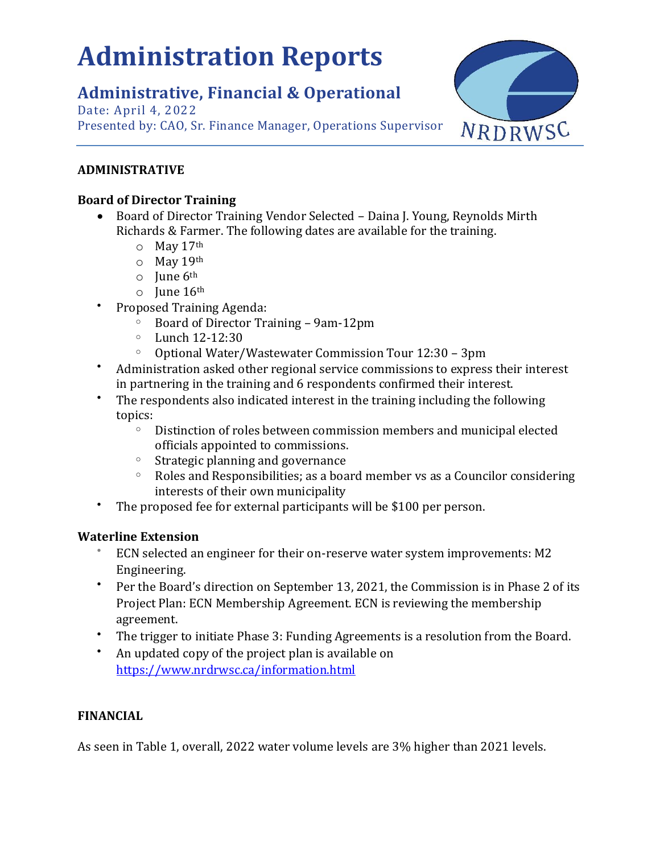# <span id="page-22-0"></span>**Administration Reports**

# **Administrative, Financial & Operational**

Date: April 4, 2022 Presented by: CAO, Sr. Finance Manager, Operations Supervisor



# **ADMINISTRATIVE**

# **Board of Director Training**

- Board of Director Training Vendor Selected Daina J. Young, Reynolds Mirth Richards & Farmer. The following dates are available for the training.
	- $\circ$  May 17th
	- $O$  May 19th
	- $\circ$  June  $6^{\text{th}}$
	- $\circ$  June 16<sup>th</sup>
- Proposed Training Agenda:
	- <sup>o</sup> Board of Director Training 9am-12pm
	- $\circ$  Lunch 12-12:30
	- <sup>o</sup> Optional Water/Wastewater Commission Tour 12:30 3pm
- Administration asked other regional service commissions to express their interest in partnering in the training and 6 respondents confirmed their interest.
- The respondents also indicated interest in the training including the following topics:
	- $\degree$  Distinction of roles between commission members and municipal elected officials appointed to commissions.
	- <sup>o</sup> Strategic planning and governance
	- $\circ$  Roles and Responsibilities; as a board member vs as a Councilor considering interests of their own municipality
- The proposed fee for external participants will be \$100 per person.

# **Waterline Extension**

- ECN selected an engineer for their on-reserve water system improvements: M2 Engineering.
- Per the Board's direction on September 13, 2021, the Commission is in Phase 2 of its Project Plan: ECN Membership Agreement. ECN is reviewing the membership agreement.
- The trigger to initiate Phase 3: Funding Agreements is a resolution from the Board.
- An updated copy of the project plan is available on <https://www.nrdrwsc.ca/information.html>

# **FINANCIAL**

As seen in Table 1, overall, 2022 water volume levels are 3% higher than 2021 levels.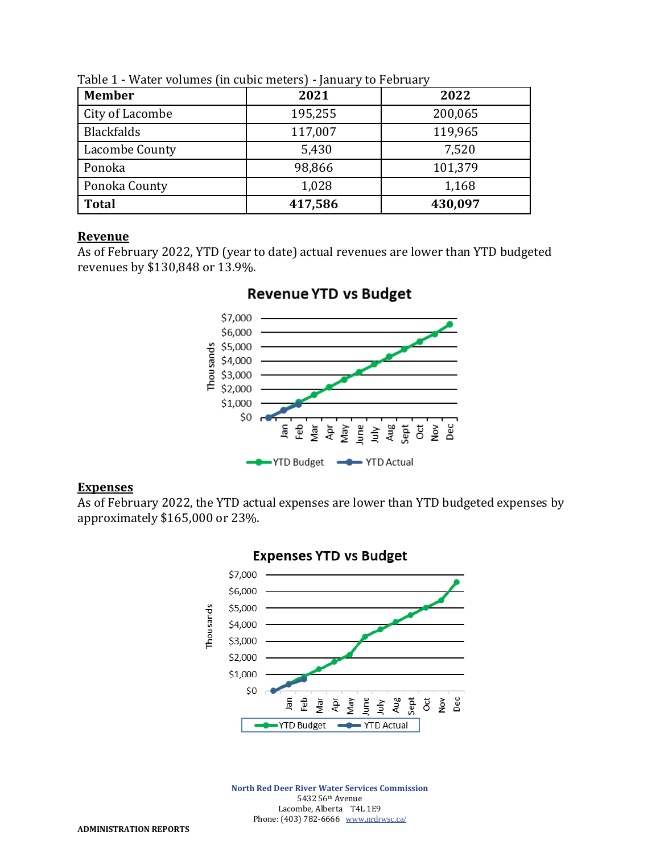| <b>Member</b>     | 2021    | 2022    |  |
|-------------------|---------|---------|--|
| City of Lacombe   | 195,255 | 200,065 |  |
| <b>Blackfalds</b> | 117,007 | 119,965 |  |
| Lacombe County    | 5,430   | 7,520   |  |
| Ponoka            | 98,866  | 101,379 |  |
| Ponoka County     | 1,028   | 1,168   |  |
| <b>Total</b>      | 417,586 | 430,097 |  |

Table 1 - Water volumes (in cubic meters) - January to February

#### **Revenue**

As of February 2022, YTD (year to date) actual revenues are lower than YTD budgeted revenues by \$130,848 or 13.9%.



# **Revenue YTD vs Budget**

### **Expenses**

As of February 2022, the YTD actual expenses are lower than YTD budgeted expenses by approximately \$165,000 or 23%.



**North Red Deer River Water Services Commission** 5432 56th Avenue Lacombe, Alberta T4L 1E9 Phone: (403) 782-6666 [www.nrdrwsc.ca/](http://www.nrdrwsc.ca/)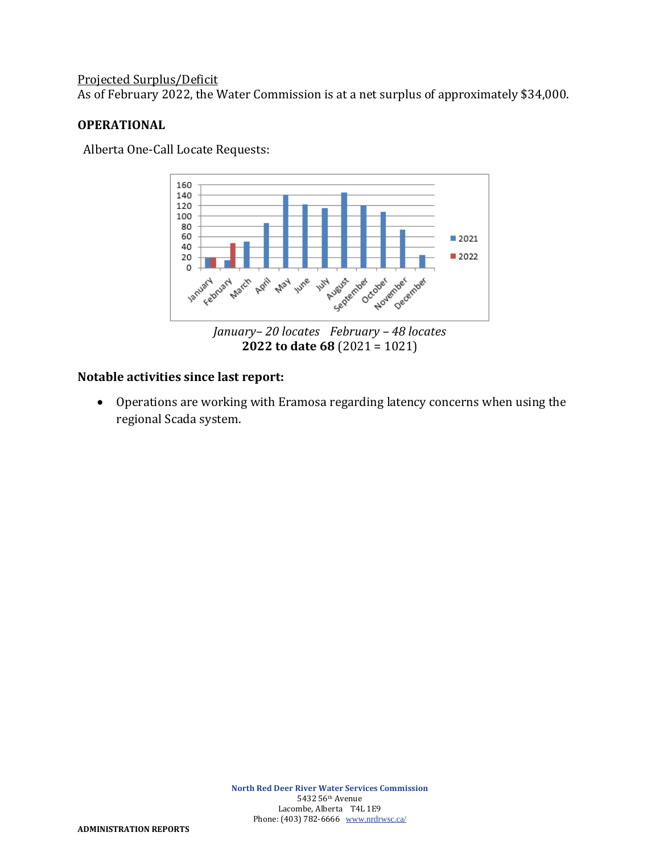# Projected Surplus/Deficit

As of February 2022, the Water Commission is at a net surplus of approximately \$34,000.

# **OPERATIONAL**

Alberta One-Call Locate Requests:



# **Notable activities since last report:**

• Operations are working with Eramosa regarding latency concerns when using the regional Scada system.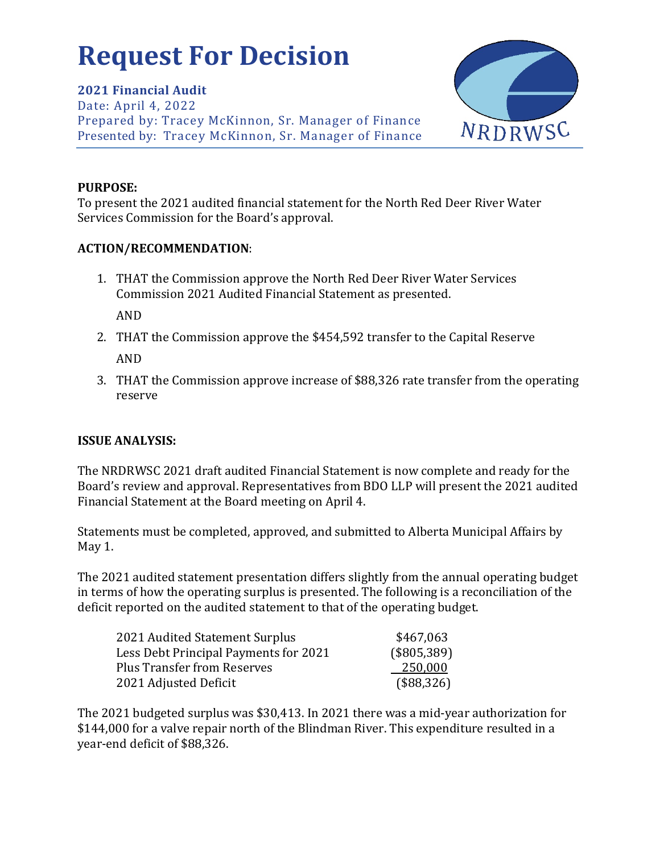# <span id="page-25-0"></span>**Request For Decision**

**2021 Financial Audit** Date: April 4, 2022 Prepared by: Tracey McKinnon, Sr. Manager of Finance Presented by: Tracey McKinnon, Sr. Manager of Finance



# **PURPOSE:**

To present the 2021 audited financial statement for the North Red Deer River Water Services Commission for the Board's approval.

# **ACTION/RECOMMENDATION**:

1. THAT the Commission approve the North Red Deer River Water Services Commission 2021 Audited Financial Statement as presented.

AND

- 2. THAT the Commission approve the \$454,592 transfer to the Capital Reserve AND
- 3. THAT the Commission approve increase of \$88,326 rate transfer from the operating reserve

# **ISSUE ANALYSIS:**

The NRDRWSC 2021 draft audited Financial Statement is now complete and ready for the Board's review and approval. Representatives from BDO LLP will present the 2021 audited Financial Statement at the Board meeting on April 4.

Statements must be completed, approved, and submitted to Alberta Municipal Affairs by May 1.

The 2021 audited statement presentation differs slightly from the annual operating budget in terms of how the operating surplus is presented. The following is a reconciliation of the deficit reported on the audited statement to that of the operating budget.

| \$467,063   |
|-------------|
| (\$805,389) |
| 250,000     |
| (\$88,326)  |
|             |

The 2021 budgeted surplus was \$30,413. In 2021 there was a mid-year authorization for \$144,000 for a valve repair north of the Blindman River. This expenditure resulted in a year-end deficit of \$88,326.